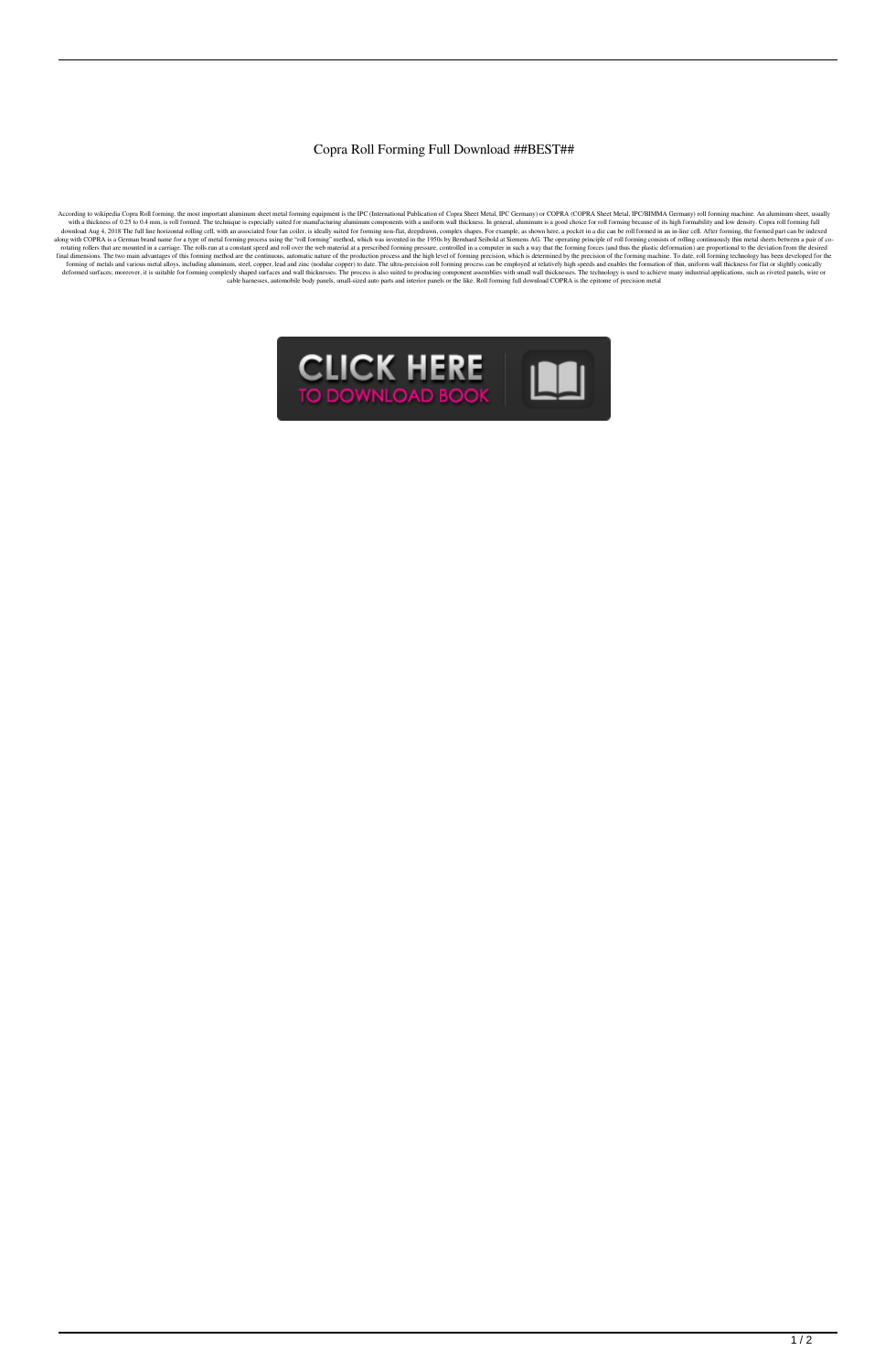## Copra Roll Forming Full Download ##BEST##

According to wikipedia Copra Roll forming, the most important aluminum sheet meal forming equipment is the IPC (International Publication of Copra Sheet Metal, IPC Germany) or COPRA (COPRA Sheet Metal, IPC/BIMMA Germany) r